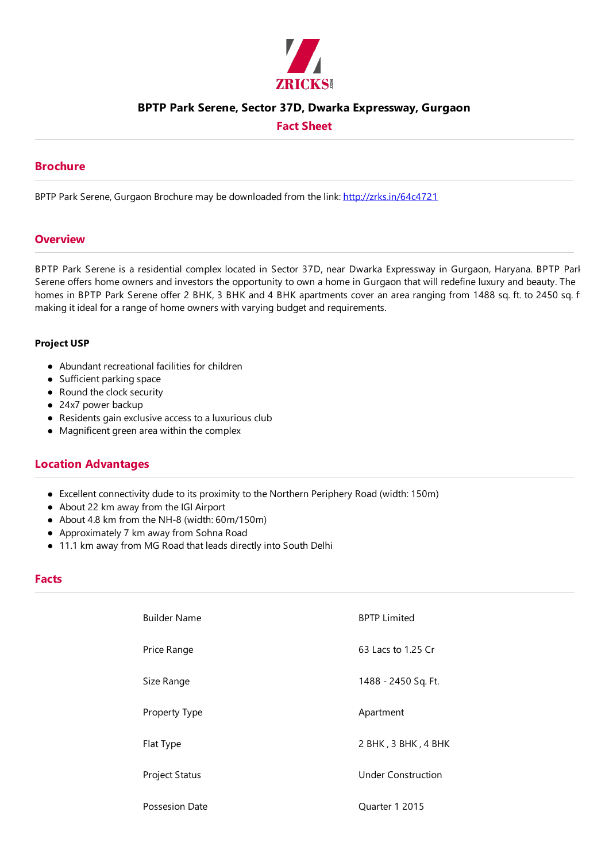

## **BPTP Park Serene, Sector 37D, Dwarka Expressway, Gurgaon**

**Fact Sheet**

## **Brochure**

BPTP Park Serene, Gurgaon Brochure may be downloaded from the link: http://zrks.in/64c4721

### **Overview**

BPTP Park Serene is a residential complex located in Sector 37D, near Dwarka Expressway in Gurgaon, Haryana. BPTP Park Serene offers home owners and investors the opportunity to own a home in Gurgaon that will redefine luxury and beauty. The homes in BPTP Park Serene offer 2 BHK, 3 BHK and 4 BHK apartments cover an area ranging from 1488 sq. ft. to 2450 sq. f making it ideal for a range of home owners with varying budget and requirements.

#### **Project USP**

- Abundant recreational facilities for children
- Sufficient parking space
- Round the clock security
- 24x7 power backup
- Residents gain exclusive access to a luxurious club
- Magnificent green area within the complex

## **Location Advantages**

- Excellent connectivity dudeto its proximity to the Northern Periphery Road (width: 150m)
- About 22 km away from the IGI Airport
- About 4.8 km from the NH-8 (width: 60m/150m)
- Approximately 7 km away from Sohna Road
- 11.1 km away from MG Road that leads directly into South Delhi

### **Facts**

| <b>Builder Name</b>   | <b>BPTP Limited</b>       |
|-----------------------|---------------------------|
| Price Range           | 63 Lacs to 1.25 Cr        |
| Size Range            | 1488 - 2450 Sq. Ft.       |
| Property Type         | Apartment                 |
| Flat Type             | 2 BHK, 3 BHK, 4 BHK       |
| <b>Project Status</b> | <b>Under Construction</b> |
| Possesion Date        | Quarter 1 2015            |